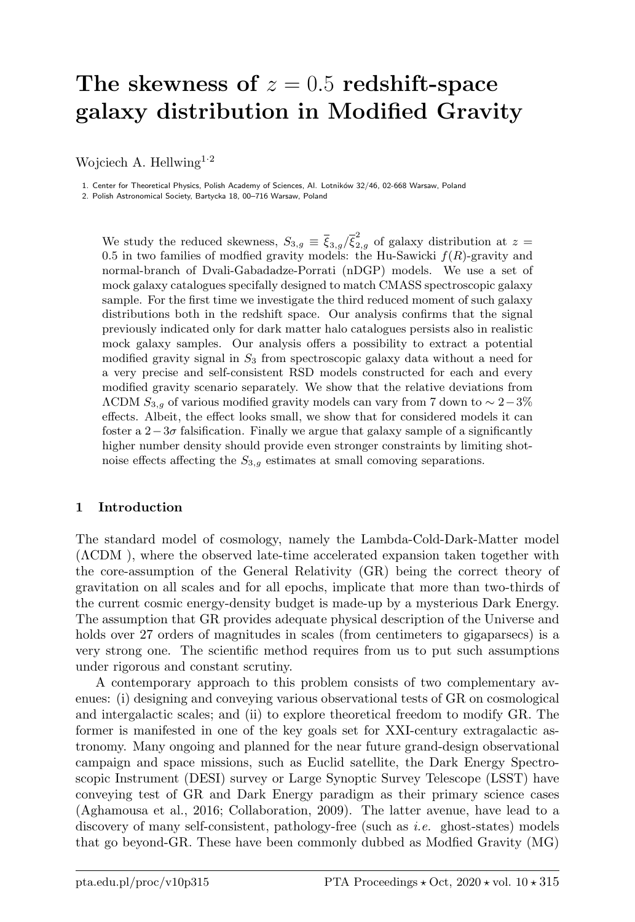# The skewness of  $z = 0.5$  redshift-space galaxy distribution in Modified Gravity

Wojciech A. Hellwing<sup>1.2</sup>

1. Center for Theoretical Physics, Polish Academy of Sciences, Al. Lotników 32/46, 02-668 Warsaw, Poland

2. Polish Astronomical Society, Bartycka 18, 00–716 Warsaw, Poland

We study the reduced skewness,  $S_{3,g} \equiv \bar{\xi}_{3,g}/\bar{\xi}_{2,g}^2$  of galaxy distribution at  $z =$ 0.5 in two families of modfied gravity models: the Hu-Sawicki  $f(R)$ -gravity and normal-branch of Dvali-Gabadadze-Porrati (nDGP) models. We use a set of mock galaxy catalogues specifally designed to match CMASS spectroscopic galaxy sample. For the first time we investigate the third reduced moment of such galaxy distributions both in the redshift space. Our analysis confirms that the signal previously indicated only for dark matter halo catalogues persists also in realistic mock galaxy samples. Our analysis offers a possibility to extract a potential modified gravity signal in  $S_3$  from spectroscopic galaxy data without a need for a very precise and self-consistent RSD models constructed for each and every modified gravity scenario separately. We show that the relative deviations from  $\Lambda$ CDM  $S_{3,g}$  of various modified gravity models can vary from 7 down to  $\sim 2-3\%$ effects. Albeit, the effect looks small, we show that for considered models it can foster a  $2-3\sigma$  falsification. Finally we argue that galaxy sample of a significantly higher number density should provide even stronger constraints by limiting shotnoise effects affecting the  $S_{3,q}$  estimates at small comoving separations.

## 1 Introduction

The standard model of cosmology, namely the Lambda-Cold-Dark-Matter model (ΛCDM ), where the observed late-time accelerated expansion taken together with the core-assumption of the General Relativity (GR) being the correct theory of gravitation on all scales and for all epochs, implicate that more than two-thirds of the current cosmic energy-density budget is made-up by a mysterious Dark Energy. The assumption that GR provides adequate physical description of the Universe and holds over 27 orders of magnitudes in scales (from centimeters to gigaparsecs) is a very strong one. The scientific method requires from us to put such assumptions under rigorous and constant scrutiny.

A contemporary approach to this problem consists of two complementary avenues: (i) designing and conveying various observational tests of GR on cosmological and intergalactic scales; and (ii) to explore theoretical freedom to modify GR. The former is manifested in one of the key goals set for XXI-century extragalactic astronomy. Many ongoing and planned for the near future grand-design observational campaign and space missions, such as Euclid satellite, the Dark Energy Spectroscopic Instrument (DESI) survey or Large Synoptic Survey Telescope (LSST) have conveying test of GR and Dark Energy paradigm as their primary science cases (Aghamousa et al., 2016; Collaboration, 2009). The latter avenue, have lead to a discovery of many self-consistent, pathology-free (such as *i.e.* ghost-states) models that go beyond-GR. These have been commonly dubbed as Modfied Gravity (MG)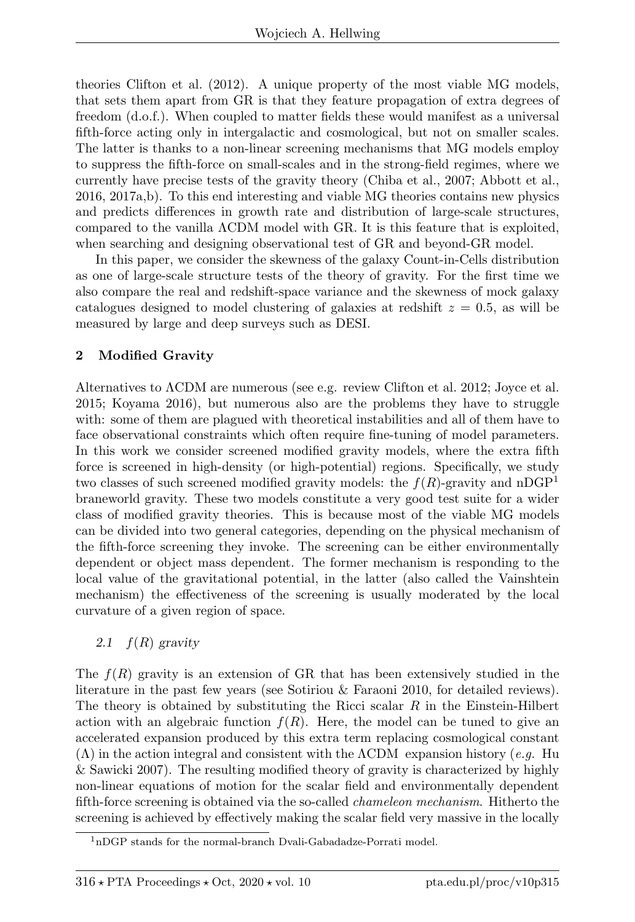theories Clifton et al. (2012). A unique property of the most viable MG models, that sets them apart from GR is that they feature propagation of extra degrees of freedom (d.o.f.). When coupled to matter fields these would manifest as a universal fifth-force acting only in intergalactic and cosmological, but not on smaller scales. The latter is thanks to a non-linear screening mechanisms that MG models employ to suppress the fifth-force on small-scales and in the strong-field regimes, where we currently have precise tests of the gravity theory (Chiba et al., 2007; Abbott et al., 2016, 2017a,b). To this end interesting and viable MG theories contains new physics and predicts differences in growth rate and distribution of large-scale structures, compared to the vanilla ΛCDM model with GR. It is this feature that is exploited, when searching and designing observational test of GR and beyond-GR model.

In this paper, we consider the skewness of the galaxy Count-in-Cells distribution as one of large-scale structure tests of the theory of gravity. For the first time we also compare the real and redshift-space variance and the skewness of mock galaxy catalogues designed to model clustering of galaxies at redshift  $z = 0.5$ , as will be measured by large and deep surveys such as DESI.

# 2 Modified Gravity

Alternatives to ΛCDM are numerous (see e.g. review Clifton et al. 2012; Joyce et al. 2015; Koyama 2016), but numerous also are the problems they have to struggle with: some of them are plagued with theoretical instabilities and all of them have to face observational constraints which often require fine-tuning of model parameters. In this work we consider screened modified gravity models, where the extra fifth force is screened in high-density (or high-potential) regions. Specifically, we study two classes of such screened modified gravity models: the  $f(R)$ -gravity and nDGP<sup>1</sup> braneworld gravity. These two models constitute a very good test suite for a wider class of modified gravity theories. This is because most of the viable MG models can be divided into two general categories, depending on the physical mechanism of the fifth-force screening they invoke. The screening can be either environmentally dependent or object mass dependent. The former mechanism is responding to the local value of the gravitational potential, in the latter (also called the Vainshtein mechanism) the effectiveness of the screening is usually moderated by the local curvature of a given region of space.

# 2.1  $f(R)$  gravity

The  $f(R)$  gravity is an extension of GR that has been extensively studied in the literature in the past few years (see Sotiriou & Faraoni 2010, for detailed reviews). The theory is obtained by substituting the Ricci scalar  $R$  in the Einstein-Hilbert action with an algebraic function  $f(R)$ . Here, the model can be tuned to give an accelerated expansion produced by this extra term replacing cosmological constant  $(\Lambda)$  in the action integral and consistent with the  $\Lambda$ CDM expansion history (e.g. Hu & Sawicki 2007). The resulting modified theory of gravity is characterized by highly non-linear equations of motion for the scalar field and environmentally dependent fifth-force screening is obtained via the so-called chameleon mechanism. Hitherto the screening is achieved by effectively making the scalar field very massive in the locally

 $1<sup>1</sup>$ nDGP stands for the normal-branch Dvali-Gabadadze-Porrati model.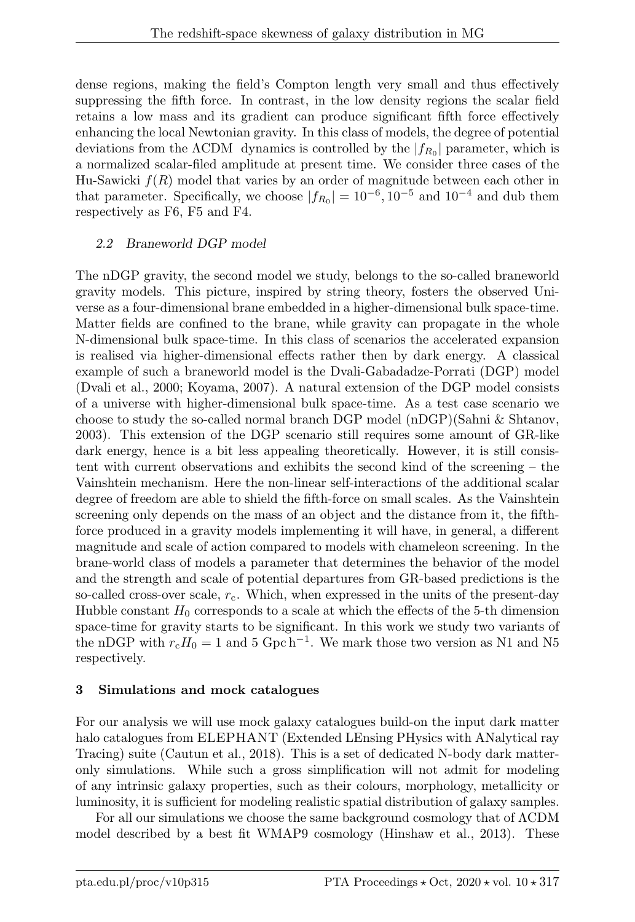dense regions, making the field's Compton length very small and thus effectively suppressing the fifth force. In contrast, in the low density regions the scalar field retains a low mass and its gradient can produce significant fifth force effectively enhancing the local Newtonian gravity. In this class of models, the degree of potential deviations from the  $\Lambda$ CDM dynamics is controlled by the  $|f_{R_0}|$  parameter, which is a normalized scalar-filed amplitude at present time. We consider three cases of the Hu-Sawicki  $f(R)$  model that varies by an order of magnitude between each other in that parameter. Specifically, we choose  $|f_{R_0}| = 10^{-6}, 10^{-5}$  and  $10^{-4}$  and dub them respectively as F6, F5 and F4.

# 2.2 Braneworld DGP model

The nDGP gravity, the second model we study, belongs to the so-called braneworld gravity models. This picture, inspired by string theory, fosters the observed Universe as a four-dimensional brane embedded in a higher-dimensional bulk space-time. Matter fields are confined to the brane, while gravity can propagate in the whole N-dimensional bulk space-time. In this class of scenarios the accelerated expansion is realised via higher-dimensional effects rather then by dark energy. A classical example of such a braneworld model is the Dvali-Gabadadze-Porrati (DGP) model (Dvali et al., 2000; Koyama, 2007). A natural extension of the DGP model consists of a universe with higher-dimensional bulk space-time. As a test case scenario we choose to study the so-called normal branch DGP model (nDGP)(Sahni & Shtanov, 2003). This extension of the DGP scenario still requires some amount of GR-like dark energy, hence is a bit less appealing theoretically. However, it is still consistent with current observations and exhibits the second kind of the screening – the Vainshtein mechanism. Here the non-linear self-interactions of the additional scalar degree of freedom are able to shield the fifth-force on small scales. As the Vainshtein screening only depends on the mass of an object and the distance from it, the fifthforce produced in a gravity models implementing it will have, in general, a different magnitude and scale of action compared to models with chameleon screening. In the brane-world class of models a parameter that determines the behavior of the model and the strength and scale of potential departures from GR-based predictions is the so-called cross-over scale,  $r_c$ . Which, when expressed in the units of the present-day Hubble constant  $H_0$  corresponds to a scale at which the effects of the 5-th dimension space-time for gravity starts to be significant. In this work we study two variants of the nDGP with  $r_cH_0 = 1$  and 5 Gpc h<sup>-1</sup>. We mark those two version as N1 and N5 respectively.

# 3 Simulations and mock catalogues

For our analysis we will use mock galaxy catalogues build-on the input dark matter halo catalogues from ELEPHANT (Extended LEnsing PHysics with ANalytical ray Tracing) suite (Cautun et al., 2018). This is a set of dedicated N-body dark matteronly simulations. While such a gross simplification will not admit for modeling of any intrinsic galaxy properties, such as their colours, morphology, metallicity or luminosity, it is sufficient for modeling realistic spatial distribution of galaxy samples.

For all our simulations we choose the same background cosmology that of ΛCDM model described by a best fit WMAP9 cosmology (Hinshaw et al., 2013). These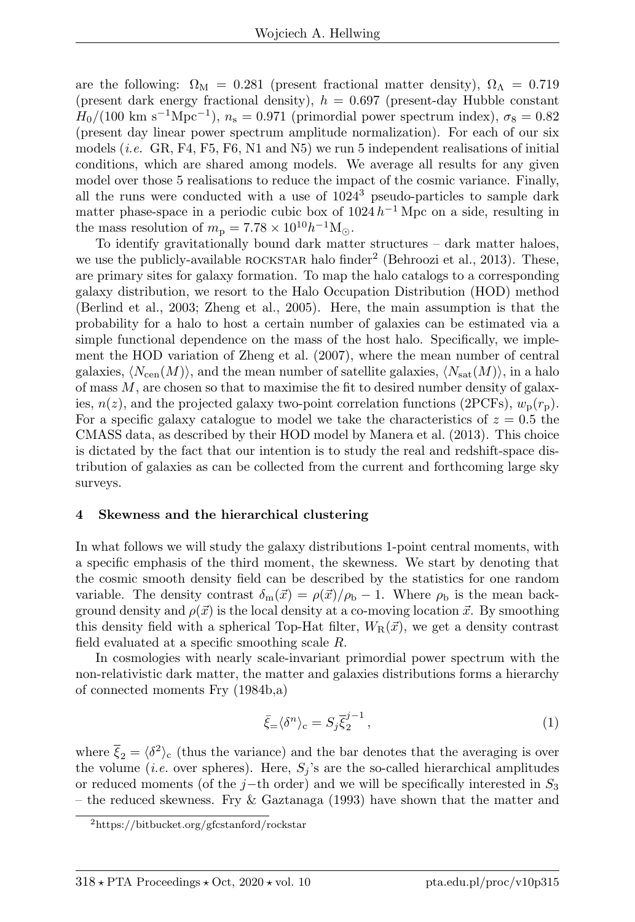are the following:  $\Omega_M = 0.281$  (present fractional matter density),  $\Omega_{\Lambda} = 0.719$ (present dark energy fractional density),  $h = 0.697$  (present-day Hubble constant  $H_0/(100 \text{ km s}^{-1} \text{Mpc}^{-1}), n_s = 0.971 \text{ (primordial power spectrum index)}, \sigma_8 = 0.82$ (present day linear power spectrum amplitude normalization). For each of our six models (*i.e.* GR, F4, F5, F6, N1 and N5) we run 5 independent realisations of initial conditions, which are shared among models. We average all results for any given model over those 5 realisations to reduce the impact of the cosmic variance. Finally, all the runs were conducted with a use of  $1024<sup>3</sup>$  pseudo-particles to sample dark matter phase-space in a periodic cubic box of  $1024 h^{-1}$  Mpc on a side, resulting in the mass resolution of  $m_{\rm p} = 7.78 \times 10^{10} h^{-1} \rm M_{\odot}$ .

To identify gravitationally bound dark matter structures – dark matter haloes, we use the publicly-available ROCKSTAR halo finder<sup>2</sup> (Behroozi et al., 2013). These, are primary sites for galaxy formation. To map the halo catalogs to a corresponding galaxy distribution, we resort to the Halo Occupation Distribution (HOD) method (Berlind et al., 2003; Zheng et al., 2005). Here, the main assumption is that the probability for a halo to host a certain number of galaxies can be estimated via a simple functional dependence on the mass of the host halo. Specifically, we implement the HOD variation of Zheng et al. (2007), where the mean number of central galaxies,  $\langle N_{\text{cen}}(M) \rangle$ , and the mean number of satellite galaxies,  $\langle N_{\text{sat}}(M) \rangle$ , in a halo of mass  $M$ , are chosen so that to maximise the fit to desired number density of galaxies,  $n(z)$ , and the projected galaxy two-point correlation functions (2PCFs),  $w_p(r_p)$ . For a specific galaxy catalogue to model we take the characteristics of  $z = 0.5$  the CMASS data, as described by their HOD model by Manera et al. (2013). This choice is dictated by the fact that our intention is to study the real and redshift-space distribution of galaxies as can be collected from the current and forthcoming large sky surveys.

#### 4 Skewness and the hierarchical clustering

In what follows we will study the galaxy distributions 1-point central moments, with a specific emphasis of the third moment, the skewness. We start by denoting that the cosmic smooth density field can be described by the statistics for one random variable. The density contrast  $\delta_m(\vec{x}) = \rho(\vec{x})/\rho_b - 1$ . Where  $\rho_b$  is the mean background density and  $\rho(\vec{x})$  is the local density at a co-moving location  $\vec{x}$ . By smoothing this density field with a spherical Top-Hat filter,  $W_R(\vec{x})$ , we get a density contrast field evaluated at a specific smoothing scale R.

In cosmologies with nearly scale-invariant primordial power spectrum with the non-relativistic dark matter, the matter and galaxies distributions forms a hierarchy of connected moments Fry (1984b,a)

$$
\bar{\xi}_{=}\langle\delta^{n}\rangle_{\rm c}=S_{j}\bar{\xi}_{2}^{j-1}\,,\tag{1}
$$

where  $\bar{\xi}_2 = \langle \delta^2 \rangle_c$  (thus the variance) and the bar denotes that the averaging is over the volume (*i.e.* over spheres). Here,  $S_j$ 's are the so-called hierarchical amplitudes or reduced moments (of the j−th order) and we will be specifically interested in  $S_3$ – the reduced skewness. Fry & Gaztanaga (1993) have shown that the matter and

<sup>2</sup>https://bitbucket.org/gfcstanford/rockstar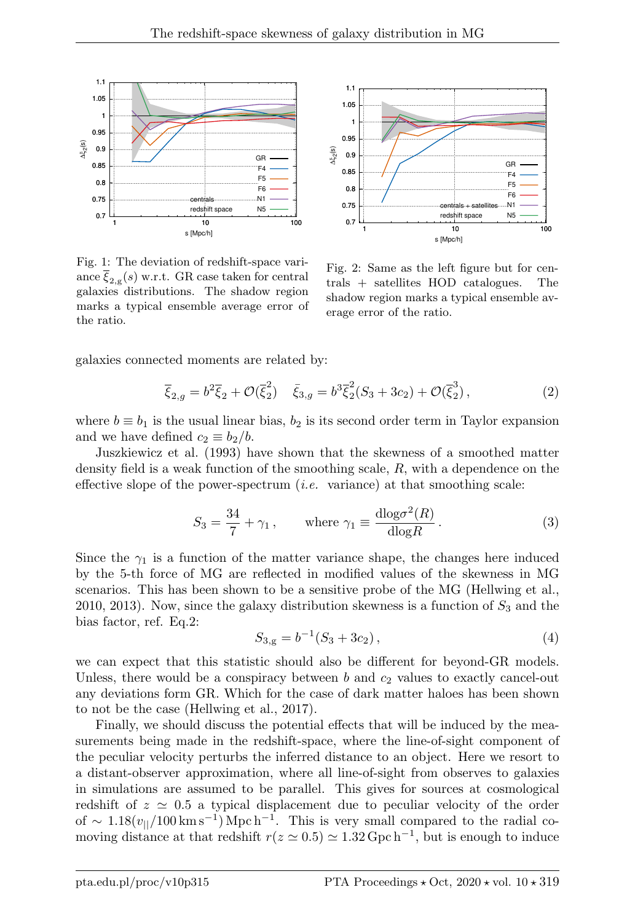

Fig. 1: The deviation of redshift-space variance  $\xi_{2,g}(s)$  w.r.t. GR case taken for central galaxies distributions. The shadow region marks a typical ensemble average error of the ratio.



Fig. 2: Same as the left figure but for centrals + satellites HOD catalogues. The shadow region marks a typical ensemble average error of the ratio.

galaxies connected moments are related by:

$$
\overline{\xi}_{2,g} = b^2 \overline{\xi}_2 + \mathcal{O}(\overline{\xi}_2^2) \quad \overline{\xi}_{3,g} = b^3 \overline{\xi}_2^2 (S_3 + 3c_2) + \mathcal{O}(\overline{\xi}_2^3), \tag{2}
$$

where  $b \equiv b_1$  is the usual linear bias,  $b_2$  is its second order term in Taylor expansion and we have defined  $c_2 \equiv b_2/b$ .

Juszkiewicz et al. (1993) have shown that the skewness of a smoothed matter density field is a weak function of the smoothing scale, R, with a dependence on the effective slope of the power-spectrum  $(i.e.$  variance) at that smoothing scale:

$$
S_3 = \frac{34}{7} + \gamma_1, \qquad \text{where } \gamma_1 \equiv \frac{\text{dlog}\sigma^2(R)}{\text{dlog}R}. \tag{3}
$$

Since the  $\gamma_1$  is a function of the matter variance shape, the changes here induced by the 5-th force of MG are reflected in modified values of the skewness in MG scenarios. This has been shown to be a sensitive probe of the MG (Hellwing et al., 2010, 2013). Now, since the galaxy distribution skewness is a function of  $S_3$  and the bias factor, ref. Eq.2:

$$
S_{3,g} = b^{-1}(S_3 + 3c_2), \tag{4}
$$

we can expect that this statistic should also be different for beyond-GR models. Unless, there would be a conspiracy between  $b$  and  $c_2$  values to exactly cancel-out any deviations form GR. Which for the case of dark matter haloes has been shown to not be the case (Hellwing et al., 2017).

Finally, we should discuss the potential effects that will be induced by the measurements being made in the redshift-space, where the line-of-sight component of the peculiar velocity perturbs the inferred distance to an object. Here we resort to a distant-observer approximation, where all line-of-sight from observes to galaxies in simulations are assumed to be parallel. This gives for sources at cosmological redshift of  $z \approx 0.5$  a typical displacement due to peculiar velocity of the order of ~ 1.18 $(v_{\parallel}/100 \,\mathrm{km\,s^{-1}})$  Mpc h<sup>-1</sup>. This is very small compared to the radial comoving distance at that redshift  $r(z \approx 0.5) \approx 1.32$  Gpc h<sup>-1</sup>, but is enough to induce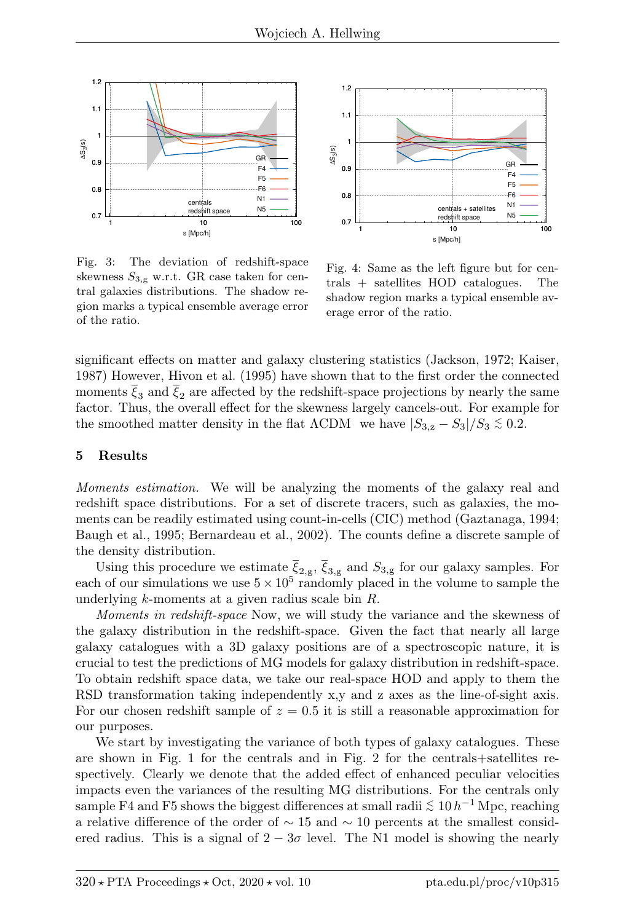

Fig. 3: The deviation of redshift-space skewness  $S_{3,g}$  w.r.t. GR case taken for central galaxies distributions. The shadow region marks a typical ensemble average error of the ratio.



Fig. 4: Same as the left figure but for centrals + satellites HOD catalogues. The shadow region marks a typical ensemble average error of the ratio.

significant effects on matter and galaxy clustering statistics (Jackson, 1972; Kaiser, 1987) However, Hivon et al. (1995) have shown that to the first order the connected moments  $\xi_3$  and  $\xi_2$  are affected by the redshift-space projections by nearly the same factor. Thus, the overall effect for the skewness largely cancels-out. For example for the smoothed matter density in the flat  $\Lambda$ CDM we have  $|S_{3,z} - S_3|/S_3 \lesssim 0.2$ .

#### 5 Results

Moments estimation. We will be analyzing the moments of the galaxy real and redshift space distributions. For a set of discrete tracers, such as galaxies, the moments can be readily estimated using count-in-cells (CIC) method (Gaztanaga, 1994; Baugh et al., 1995; Bernardeau et al., 2002). The counts define a discrete sample of the density distribution.

Using this procedure we estimate  $\xi_{2,g}$ ,  $\xi_{3,g}$  and  $S_{3,g}$  for our galaxy samples. For each of our simulations we use  $5 \times 10^5$  randomly placed in the volume to sample the underlying k-moments at a given radius scale bin R.

Moments in redshift-space Now, we will study the variance and the skewness of the galaxy distribution in the redshift-space. Given the fact that nearly all large galaxy catalogues with a 3D galaxy positions are of a spectroscopic nature, it is crucial to test the predictions of MG models for galaxy distribution in redshift-space. To obtain redshift space data, we take our real-space HOD and apply to them the RSD transformation taking independently x,y and z axes as the line-of-sight axis. For our chosen redshift sample of  $z = 0.5$  it is still a reasonable approximation for our purposes.

We start by investigating the variance of both types of galaxy catalogues. These are shown in Fig. 1 for the centrals and in Fig. 2 for the centrals+satellites respectively. Clearly we denote that the added effect of enhanced peculiar velocities impacts even the variances of the resulting MG distributions. For the centrals only sample F4 and F5 shows the biggest differences at small radii  $\lesssim 10 h^{-1}$  Mpc, reaching a relative difference of the order of  $\sim 15$  and  $\sim 10$  percents at the smallest considered radius. This is a signal of  $2 - 3\sigma$  level. The N1 model is showing the nearly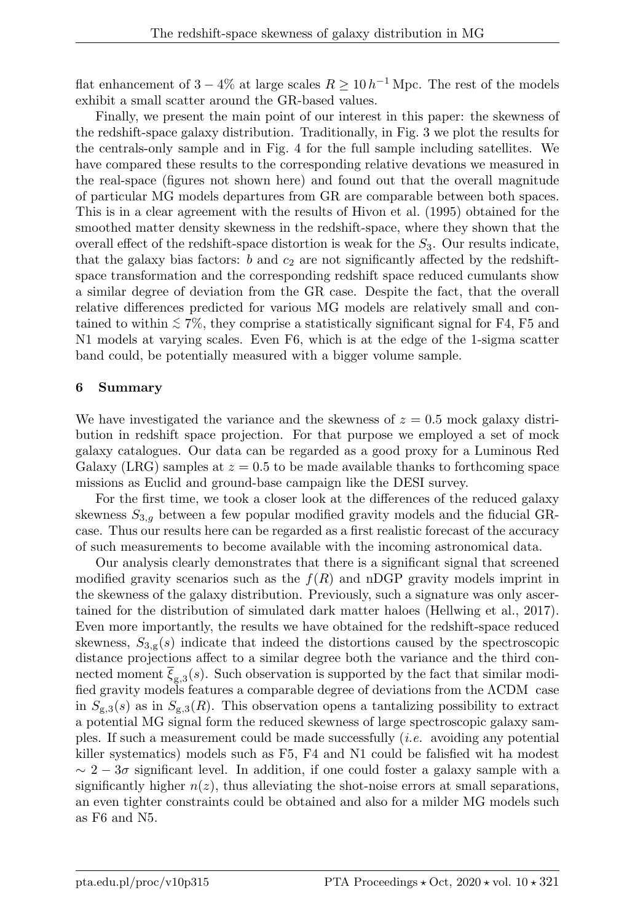flat enhancement of  $3-4\%$  at large scales  $R \geq 10 h^{-1}$  Mpc. The rest of the models exhibit a small scatter around the GR-based values.

Finally, we present the main point of our interest in this paper: the skewness of the redshift-space galaxy distribution. Traditionally, in Fig. 3 we plot the results for the centrals-only sample and in Fig. 4 for the full sample including satellites. We have compared these results to the corresponding relative devations we measured in the real-space (figures not shown here) and found out that the overall magnitude of particular MG models departures from GR are comparable between both spaces. This is in a clear agreement with the results of Hivon et al. (1995) obtained for the smoothed matter density skewness in the redshift-space, where they shown that the overall effect of the redshift-space distortion is weak for the  $S_3$ . Our results indicate, that the galaxy bias factors: b and  $c_2$  are not significantly affected by the redshiftspace transformation and the corresponding redshift space reduced cumulants show a similar degree of deviation from the GR case. Despite the fact, that the overall relative differences predicted for various MG models are relatively small and contained to within  $\lesssim 7\%$ , they comprise a statistically significant signal for F4, F5 and N1 models at varying scales. Even F6, which is at the edge of the 1-sigma scatter band could, be potentially measured with a bigger volume sample.

## 6 Summary

We have investigated the variance and the skewness of  $z = 0.5$  mock galaxy distribution in redshift space projection. For that purpose we employed a set of mock galaxy catalogues. Our data can be regarded as a good proxy for a Luminous Red Galaxy (LRG) samples at  $z = 0.5$  to be made available thanks to forthcoming space missions as Euclid and ground-base campaign like the DESI survey.

For the first time, we took a closer look at the differences of the reduced galaxy skewness  $S_{3,q}$  between a few popular modified gravity models and the fiducial GRcase. Thus our results here can be regarded as a first realistic forecast of the accuracy of such measurements to become available with the incoming astronomical data.

Our analysis clearly demonstrates that there is a significant signal that screened modified gravity scenarios such as the  $f(R)$  and nDGP gravity models imprint in the skewness of the galaxy distribution. Previously, such a signature was only ascertained for the distribution of simulated dark matter haloes (Hellwing et al., 2017). Even more importantly, the results we have obtained for the redshift-space reduced skewness,  $S_{3,g}(s)$  indicate that indeed the distortions caused by the spectroscopic distance projections affect to a similar degree both the variance and the third connected moment  $\xi_{g,3}(s)$ . Such observation is supported by the fact that similar modified gravity models features a comparable degree of deviations from the ΛCDM case in  $S_{g,3}(s)$  as in  $S_{g,3}(R)$ . This observation opens a tantalizing possibility to extract a potential MG signal form the reduced skewness of large spectroscopic galaxy samples. If such a measurement could be made successfully (i.e. avoiding any potential killer systematics) models such as F5, F4 and N1 could be falisfied wit ha modest  $\sim 2-3\sigma$  significant level. In addition, if one could foster a galaxy sample with a significantly higher  $n(z)$ , thus alleviating the shot-noise errors at small separations, an even tighter constraints could be obtained and also for a milder MG models such as F6 and N5.